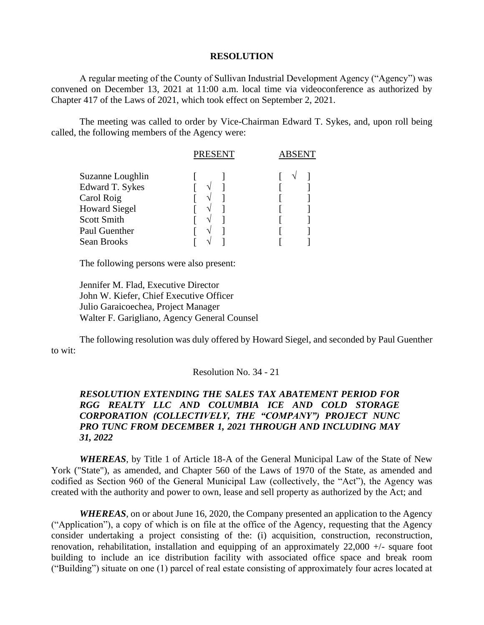## **RESOLUTION**

A regular meeting of the County of Sullivan Industrial Development Agency ("Agency") was convened on December 13, 2021 at 11:00 a.m. local time via videoconference as authorized by Chapter 417 of the Laws of 2021, which took effect on September 2, 2021.

The meeting was called to order by Vice-Chairman Edward T. Sykes, and, upon roll being called, the following members of the Agency were:

|                                     | <b>PRESENT</b> | ABSENT |  |  |  |
|-------------------------------------|----------------|--------|--|--|--|
| Suzanne Loughlin<br>Edward T. Sykes |                |        |  |  |  |
| Carol Roig                          |                |        |  |  |  |
| <b>Howard Siegel</b>                |                |        |  |  |  |
| <b>Scott Smith</b>                  |                |        |  |  |  |
| Paul Guenther                       |                |        |  |  |  |
| Sean Brooks                         |                |        |  |  |  |

The following persons were also present:

Jennifer M. Flad, Executive Director John W. Kiefer, Chief Executive Officer Julio Garaicoechea, Project Manager Walter F. Garigliano, Agency General Counsel

The following resolution was duly offered by Howard Siegel, and seconded by Paul Guenther to wit:

## Resolution No. 34 - 21

## *RESOLUTION EXTENDING THE SALES TAX ABATEMENT PERIOD FOR RGG REALTY LLC AND COLUMBIA ICE AND COLD STORAGE CORPORATION (COLLECTIVELY, THE "COMPANY") PROJECT NUNC PRO TUNC FROM DECEMBER 1, 2021 THROUGH AND INCLUDING MAY 31, 2022*

*WHEREAS*, by Title 1 of Article 18-A of the General Municipal Law of the State of New York ("State"), as amended, and Chapter 560 of the Laws of 1970 of the State, as amended and codified as Section 960 of the General Municipal Law (collectively, the "Act"), the Agency was created with the authority and power to own, lease and sell property as authorized by the Act; and

*WHEREAS*, on or about June 16, 2020, the Company presented an application to the Agency ("Application"), a copy of which is on file at the office of the Agency, requesting that the Agency consider undertaking a project consisting of the: (i) acquisition, construction, reconstruction, renovation, rehabilitation, installation and equipping of an approximately 22,000 +/- square foot building to include an ice distribution facility with associated office space and break room ("Building") situate on one (1) parcel of real estate consisting of approximately four acres located at